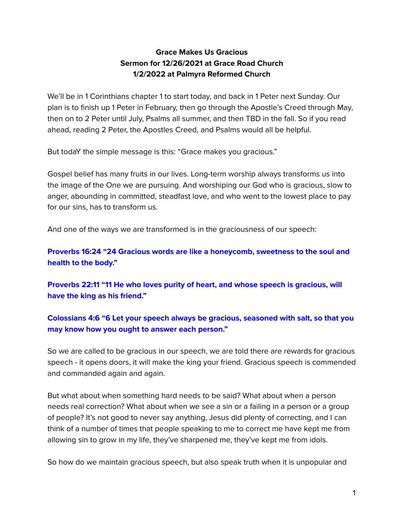# **Grace Makes Us Gracious Sermon for 12/26/2021 at Grace Road Church 1/2/2022 at Palmyra Reformed Church**

We'll be in 1 Corinthians chapter 1 to start today, and back in 1 Peter next Sunday. Our plan is to finish up 1 Peter in February, then go through the Apostle's Creed through May, then on to 2 Peter until July, Psalms all summer, and then TBD in the fall. So if you read ahead, reading 2 Peter, the Apostles Creed, and Psalms would all be helpful.

But todaY the simple message is this: "Grace makes you gracious."

Gospel belief has many fruits in our lives. Long-term worship always transforms us into the image of the One we are pursuing. And worshiping our God who is gracious, slow to anger, abounding in committed, steadfast love, and who went to the lowest place to pay for our sins, has to transform us.

And one of the ways we are transformed is in the graciousness of our speech:

**Proverbs 16:24 "24 Gracious words are like a honeycomb, sweetness to the soul and health to the body."**

**Proverbs 22:11 "11 He who loves purity of heart, and whose speech is gracious, will have the king as his friend."**

# **Colossians 4:6 "6 Let your speech always be gracious, seasoned with salt, so that you may know how you ought to answer each person."**

So we are called to be gracious in our speech, we are told there are rewards for gracious speech - it opens doors, it will make the king your friend. Gracious speech is commended and commanded again and again.

But what about when something hard needs to be said? What about when a person needs real correction? What about when we see a sin or a failing in a person or a group of people? It's not good to never say anything, Jesus did plenty of correcting, and I can think of a number of times that people speaking to me to correct me have kept me from allowing sin to grow in my life, they've sharpened me, they've kept me from idols.

So how do we maintain gracious speech, but also speak truth when it is unpopular and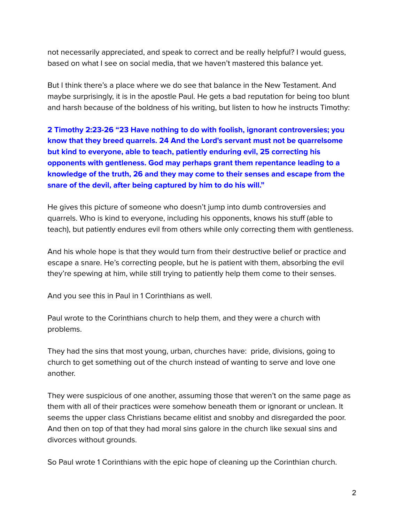not necessarily appreciated, and speak to correct and be really helpful? I would guess, based on what I see on social media, that we haven't mastered this balance yet.

But I think there's a place where we do see that balance in the New Testament. And maybe surprisingly, it is in the apostle Paul. He gets a bad reputation for being too blunt and harsh because of the boldness of his writing, but listen to how he instructs Timothy:

**2 Timothy 2:23-26 "23 Have nothing to do with foolish, ignorant controversies; you know that they breed quarrels. 24 And the Lord's servant must not be quarrelsome but kind to everyone, able to teach, patiently enduring evil, 25 correcting his opponents with gentleness. God may perhaps grant them repentance leading to a knowledge of the truth, 26 and they may come to their senses and escape from the snare of the devil, after being captured by him to do his will."**

He gives this picture of someone who doesn't jump into dumb controversies and quarrels. Who is kind to everyone, including his opponents, knows his stuff (able to teach), but patiently endures evil from others while only correcting them with gentleness.

And his whole hope is that they would turn from their destructive belief or practice and escape a snare. He's correcting people, but he is patient with them, absorbing the evil they're spewing at him, while still trying to patiently help them come to their senses.

And you see this in Paul in 1 Corinthians as well.

Paul wrote to the Corinthians church to help them, and they were a church with problems.

They had the sins that most young, urban, churches have: pride, divisions, going to church to get something out of the church instead of wanting to serve and love one another.

They were suspicious of one another, assuming those that weren't on the same page as them with all of their practices were somehow beneath them or ignorant or unclean. It seems the upper class Christians became elitist and snobby and disregarded the poor. And then on top of that they had moral sins galore in the church like sexual sins and divorces without grounds.

So Paul wrote 1 Corinthians with the epic hope of cleaning up the Corinthian church.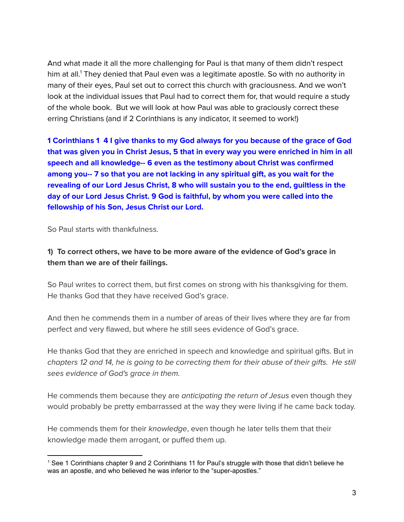And what made it all the more challenging for Paul is that many of them didn't respect him at all. <sup>1</sup> They denied that Paul even was a legitimate apostle. So with no authority in many of their eyes, Paul set out to correct this church with graciousness. And we won't look at the individual issues that Paul had to correct them for, that would require a study of the whole book. But we will look at how Paul was able to graciously correct these erring Christians (and if 2 Corinthians is any indicator, it seemed to work!)

**1 Corinthians 1 4 I give thanks to my God always for you because of the grace of God that was given you in Christ Jesus, 5 that in every way you were enriched in him in all speech and all knowledge-- 6 even as the testimony about Christ was confirmed among you-- 7 so that you are not lacking in any spiritual gift, as you wait for the revealing of our Lord Jesus Christ, 8 who will sustain you to the end, guiltless in the day of our Lord Jesus Christ. 9 God is faithful, by whom you were called into the fellowship of his Son, Jesus Christ our Lord.**

So Paul starts with thankfulness.

## **1) To correct others, we have to be more aware of the evidence of God's grace in them than we are of their failings.**

So Paul writes to correct them, but first comes on strong with his thanksgiving for them. He thanks God that they have received God's grace.

And then he commends them in a number of areas of their lives where they are far from perfect and very flawed, but where he still sees evidence of God's grace.

He thanks God that they are enriched in speech and knowledge and spiritual gifts. But in chapters 12 and 14, he is going to be correcting them for their abuse of their gifts. He still sees evidence of God's grace in them.

He commends them because they are *anticipating the return of Jesus* even though they would probably be pretty embarrassed at the way they were living if he came back today.

He commends them for their knowledge, even though he later tells them that their knowledge made them arrogant, or puffed them up.

<sup>1</sup> See 1 Corinthians chapter 9 and 2 Corinthians 11 for Paul's struggle with those that didn't believe he was an apostle, and who believed he was inferior to the "super-apostles."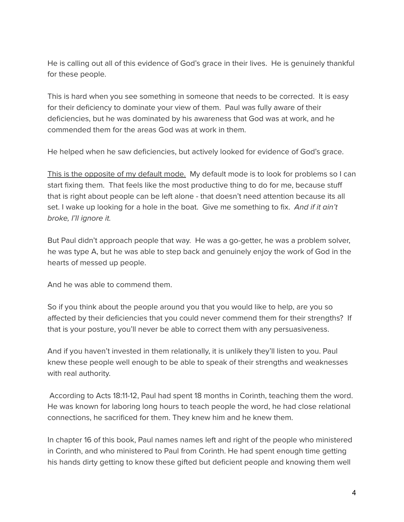He is calling out all of this evidence of God's grace in their lives. He is genuinely thankful for these people.

This is hard when you see something in someone that needs to be corrected. It is easy for their deficiency to dominate your view of them. Paul was fully aware of their deficiencies, but he was dominated by his awareness that God was at work, and he commended them for the areas God was at work in them.

He helped when he saw deficiencies, but actively looked for evidence of God's grace.

This is the opposite of my default mode. My default mode is to look for problems so I can start fixing them. That feels like the most productive thing to do for me, because stuff that is right about people can be left alone - that doesn't need attention because its all set. I wake up looking for a hole in the boat. Give me something to fix. And if it ain't broke, I'll ignore it.

But Paul didn't approach people that way. He was a go-getter, he was a problem solver, he was type A, but he was able to step back and genuinely enjoy the work of God in the hearts of messed up people.

And he was able to commend them.

So if you think about the people around you that you would like to help, are you so affected by their deficiencies that you could never commend them for their strengths? If that is your posture, you'll never be able to correct them with any persuasiveness.

And if you haven't invested in them relationally, it is unlikely they'll listen to you. Paul knew these people well enough to be able to speak of their strengths and weaknesses with real authority.

According to Acts 18:11-12, Paul had spent 18 months in Corinth, teaching them the word. He was known for laboring long hours to teach people the word, he had close relational connections, he sacrificed for them. They knew him and he knew them.

In chapter 16 of this book, Paul names names left and right of the people who ministered in Corinth, and who ministered to Paul from Corinth. He had spent enough time getting his hands dirty getting to know these gifted but deficient people and knowing them well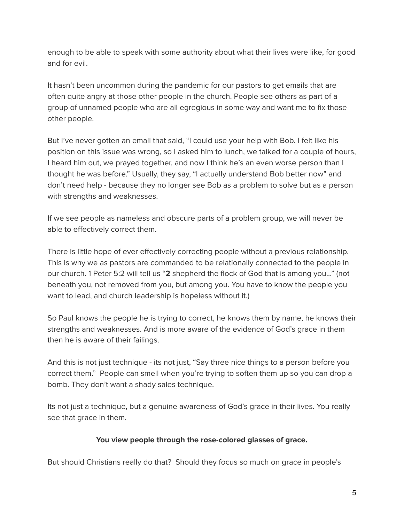enough to be able to speak with some authority about what their lives were like, for good and for evil.

It hasn't been uncommon during the pandemic for our pastors to get emails that are often quite angry at those other people in the church. People see others as part of a group of unnamed people who are all egregious in some way and want me to fix those other people.

But I've never gotten an email that said, "I could use your help with Bob. I felt like his position on this issue was wrong, so I asked him to lunch, we talked for a couple of hours, I heard him out, we prayed together, and now I think he's an even worse person than I thought he was before." Usually, they say, "I actually understand Bob better now" and don't need help - because they no longer see Bob as a problem to solve but as a person with strengths and weaknesses.

If we see people as nameless and obscure parts of a problem group, we will never be able to effectively correct them.

There is little hope of ever effectively correcting people without a previous relationship. This is why we as pastors are commanded to be relationally connected to the people in our church. 1 Peter 5:2 will tell us "**2** shepherd the flock of God that is among you…" (not beneath you, not removed from you, but among you. You have to know the people you want to lead, and church leadership is hopeless without it.)

So Paul knows the people he is trying to correct, he knows them by name, he knows their strengths and weaknesses. And is more aware of the evidence of God's grace in them then he is aware of their failings.

And this is not just technique - its not just, "Say three nice things to a person before you correct them." People can smell when you're trying to soften them up so you can drop a bomb. They don't want a shady sales technique.

Its not just a technique, but a genuine awareness of God's grace in their lives. You really see that grace in them.

## **You view people through the rose-colored glasses of grace.**

But should Christians really do that? Should they focus so much on grace in people's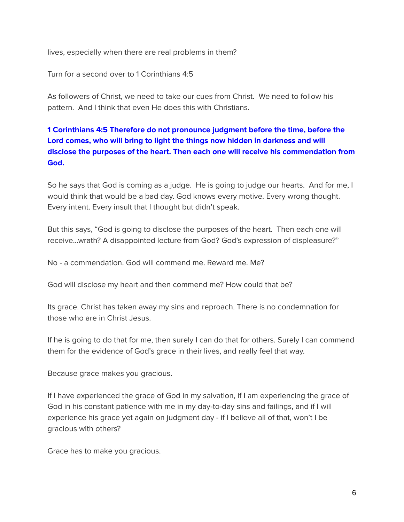lives, especially when there are real problems in them?

Turn for a second over to 1 Corinthians 4:5

As followers of Christ, we need to take our cues from Christ. We need to follow his pattern. And I think that even He does this with Christians.

# **1 Corinthians 4:5 Therefore do not pronounce judgment before the time, before the Lord comes, who will bring to light the things now hidden in darkness and will disclose the purposes of the heart. Then each one will receive his commendation from God.**

So he says that God is coming as a judge. He is going to judge our hearts. And for me, I would think that would be a bad day. God knows every motive. Every wrong thought. Every intent. Every insult that I thought but didn't speak.

But this says, "God is going to disclose the purposes of the heart. Then each one will receive…wrath? A disappointed lecture from God? God's expression of displeasure?"

No - a commendation. God will commend me. Reward me. Me?

God will disclose my heart and then commend me? How could that be?

Its grace. Christ has taken away my sins and reproach. There is no condemnation for those who are in Christ Jesus.

If he is going to do that for me, then surely I can do that for others. Surely I can commend them for the evidence of God's grace in their lives, and really feel that way.

Because grace makes you gracious.

If I have experienced the grace of God in my salvation, if I am experiencing the grace of God in his constant patience with me in my day-to-day sins and failings, and if I will experience his grace yet again on judgment day - if I believe all of that, won't I be gracious with others?

Grace has to make you gracious.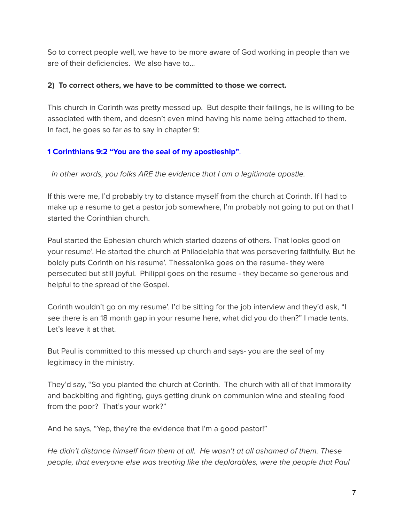So to correct people well, we have to be more aware of God working in people than we are of their deficiencies. We also have to...

#### **2) To correct others, we have to be committed to those we correct.**

This church in Corinth was pretty messed up. But despite their failings, he is willing to be associated with them, and doesn't even mind having his name being attached to them. In fact, he goes so far as to say in chapter 9:

## **1 Corinthians 9:2 "You are the seal of my apostleship"**.

In other words, you folks ARE the evidence that I am a legitimate apostle.

If this were me, I'd probably try to distance myself from the church at Corinth. If I had to make up a resume to get a pastor job somewhere, I'm probably not going to put on that I started the Corinthian church.

Paul started the Ephesian church which started dozens of others. That looks good on your resume'. He started the church at Philadelphia that was persevering faithfully. But he boldly puts Corinth on his resume'. Thessalonika goes on the resume- they were persecuted but still joyful. Philippi goes on the resume - they became so generous and helpful to the spread of the Gospel.

Corinth wouldn't go on my resume'. I'd be sitting for the job interview and they'd ask, "I see there is an 18 month gap in your resume here, what did you do then?" I made tents. Let's leave it at that.

But Paul is committed to this messed up church and says- you are the seal of my legitimacy in the ministry.

They'd say, "So you planted the church at Corinth. The church with all of that immorality and backbiting and fighting, guys getting drunk on communion wine and stealing food from the poor? That's your work?"

And he says, "Yep, they're the evidence that I'm a good pastor!"

He didn't distance himself from them at all. He wasn't at all ashamed of them. These people, that everyone else was treating like the deplorables, were the people that Paul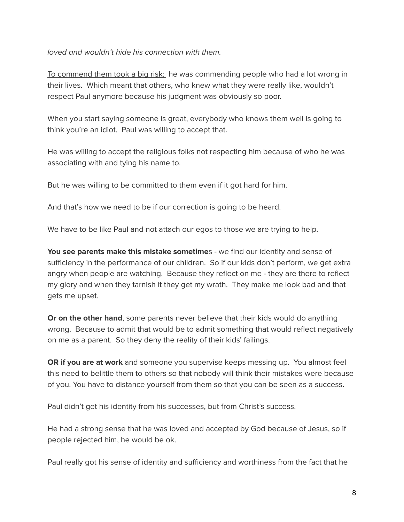#### loved and wouldn't hide his connection with them.

To commend them took a big risk: he was commending people who had a lot wrong in their lives. Which meant that others, who knew what they were really like, wouldn't respect Paul anymore because his judgment was obviously so poor.

When you start saying someone is great, everybody who knows them well is going to think you're an idiot. Paul was willing to accept that.

He was willing to accept the religious folks not respecting him because of who he was associating with and tying his name to.

But he was willing to be committed to them even if it got hard for him.

And that's how we need to be if our correction is going to be heard.

We have to be like Paul and not attach our egos to those we are trying to help.

**You see parents make this mistake sometime**s - we find our identity and sense of sufficiency in the performance of our children. So if our kids don't perform, we get extra angry when people are watching. Because they reflect on me - they are there to reflect my glory and when they tarnish it they get my wrath. They make me look bad and that gets me upset.

**Or on the other hand**, some parents never believe that their kids would do anything wrong. Because to admit that would be to admit something that would reflect negatively on me as a parent. So they deny the reality of their kids' failings.

**OR if you are at work** and someone you supervise keeps messing up. You almost feel this need to belittle them to others so that nobody will think their mistakes were because of you. You have to distance yourself from them so that you can be seen as a success.

Paul didn't get his identity from his successes, but from Christ's success.

He had a strong sense that he was loved and accepted by God because of Jesus, so if people rejected him, he would be ok.

Paul really got his sense of identity and sufficiency and worthiness from the fact that he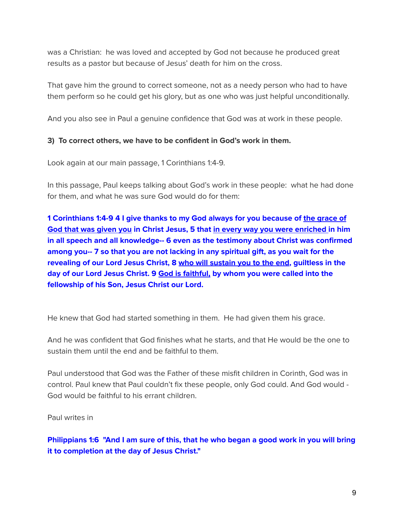was a Christian: he was loved and accepted by God not because he produced great results as a pastor but because of Jesus' death for him on the cross.

That gave him the ground to correct someone, not as a needy person who had to have them perform so he could get his glory, but as one who was just helpful unconditionally.

And you also see in Paul a genuine confidence that God was at work in these people.

### **3) To correct others, we have to be confident in God's work in them.**

Look again at our main passage, 1 Corinthians 1:4-9.

In this passage, Paul keeps talking about God's work in these people: what he had done for them, and what he was sure God would do for them:

**1 Corinthians 1:4-9 4 I give thanks to my God always for you because of the grace of God that was given you in Christ Jesus, 5 that in every way you were enriched in him in all speech and all knowledge-- 6 even as the testimony about Christ was confirmed among you-- 7 so that you are not lacking in any spiritual gift, as you wait for the revealing of our Lord Jesus Christ, 8 who will sustain you to the end, guiltless in the day of our Lord Jesus Christ. 9 God is faithful, by whom you were called into the fellowship of his Son, Jesus Christ our Lord.**

He knew that God had started something in them. He had given them his grace.

And he was confident that God finishes what he starts, and that He would be the one to sustain them until the end and be faithful to them.

Paul understood that God was the Father of these misfit children in Corinth, God was in control. Paul knew that Paul couldn't fix these people, only God could. And God would - God would be faithful to his errant children.

Paul writes in

**Philippians 1:6 "And I am sure of this, that he who began a good work in you will bring it to completion at the day of Jesus Christ."**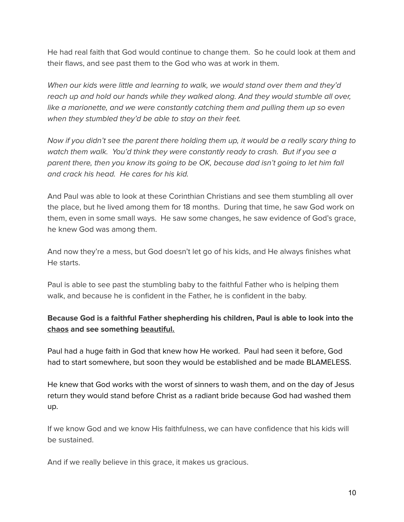He had real faith that God would continue to change them. So he could look at them and their flaws, and see past them to the God who was at work in them.

When our kids were little and learning to walk, we would stand over them and they'd reach up and hold our hands while they walked along. And they would stumble all over, like a marionette, and we were constantly catching them and pulling them up so even when they stumbled they'd be able to stay on their feet.

Now if you didn't see the parent there holding them up, it would be a really scary thing to watch them walk. You'd think they were constantly ready to crash. But if you see a parent there, then you know its going to be OK, because dad isn't going to let him fall and crack his head. He cares for his kid.

And Paul was able to look at these Corinthian Christians and see them stumbling all over the place, but he lived among them for 18 months. During that time, he saw God work on them, even in some small ways. He saw some changes, he saw evidence of God's grace, he knew God was among them.

And now they're a mess, but God doesn't let go of his kids, and He always finishes what He starts.

Paul is able to see past the stumbling baby to the faithful Father who is helping them walk, and because he is confident in the Father, he is confident in the baby.

# **Because God is a faithful Father shepherding his children, Paul is able to look into the chaos and see something beautiful.**

Paul had a huge faith in God that knew how He worked. Paul had seen it before, God had to start somewhere, but soon they would be established and be made BLAMELESS.

He knew that God works with the worst of sinners to wash them, and on the day of Jesus return they would stand before Christ as a radiant bride because God had washed them up.

If we know God and we know His faithfulness, we can have confidence that his kids will be sustained.

And if we really believe in this grace, it makes us gracious.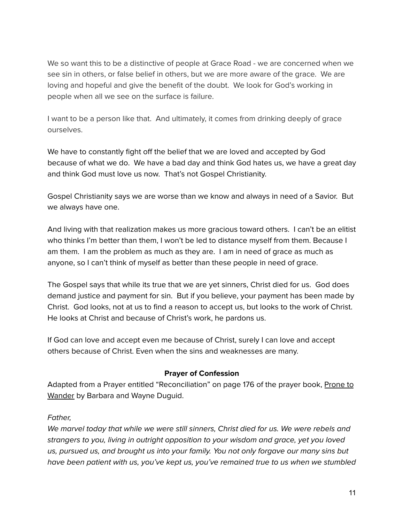We so want this to be a distinctive of people at Grace Road - we are concerned when we see sin in others, or false belief in others, but we are more aware of the grace. We are loving and hopeful and give the benefit of the doubt. We look for God's working in people when all we see on the surface is failure.

I want to be a person like that. And ultimately, it comes from drinking deeply of grace ourselves.

We have to constantly fight off the belief that we are loved and accepted by God because of what we do. We have a bad day and think God hates us, we have a great day and think God must love us now. That's not Gospel Christianity.

Gospel Christianity says we are worse than we know and always in need of a Savior. But we always have one.

And living with that realization makes us more gracious toward others. I can't be an elitist who thinks I'm better than them, I won't be led to distance myself from them. Because I am them. I am the problem as much as they are. I am in need of grace as much as anyone, so I can't think of myself as better than these people in need of grace.

The Gospel says that while its true that we are yet sinners, Christ died for us. God does demand justice and payment for sin. But if you believe, your payment has been made by Christ. God looks, not at us to find a reason to accept us, but looks to the work of Christ. He looks at Christ and because of Christ's work, he pardons us.

If God can love and accept even me because of Christ, surely I can love and accept others because of Christ. Even when the sins and weaknesses are many.

#### **Prayer of Confession**

Adapted from a Prayer entitled "Reconciliation" on page 176 of the prayer book, Prone to Wander by Barbara and Wayne Duguid.

#### Father,

We marvel today that while we were still sinners, Christ died for us. We were rebels and strangers to you, living in outright opposition to your wisdom and grace, yet you loved us, pursued us, and brought us into your family. You not only forgave our many sins but have been patient with us, you've kept us, you've remained true to us when we stumbled